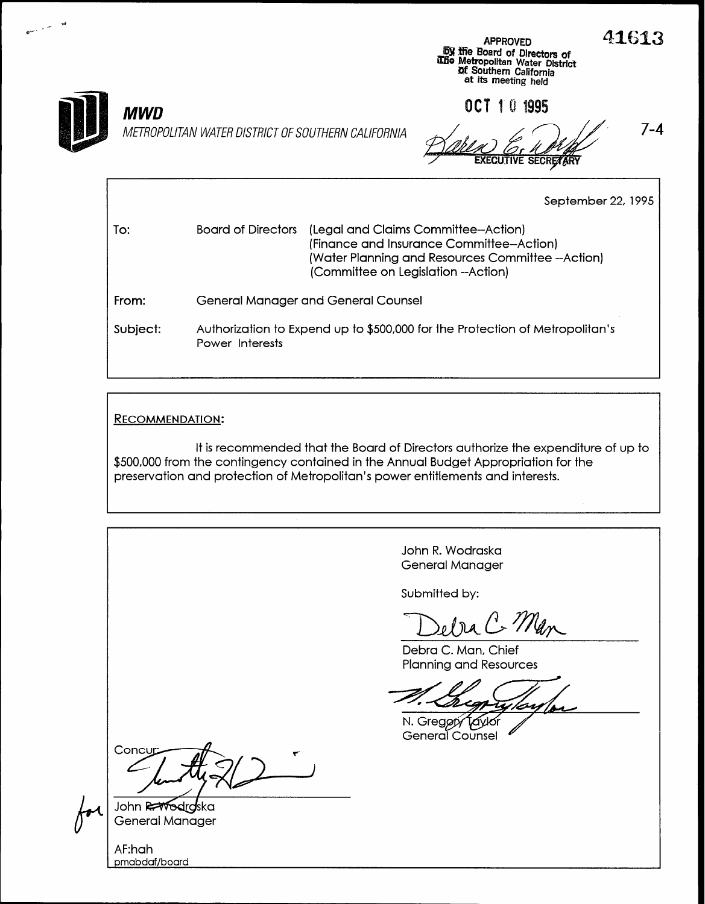

J  $\overline{\phantom{a}}$  $\mathbf{C}^{\mathrm{ss}}$ 

## MWD

METROPOLITAN WATER DISTRICT OF SOUTHERN CALIFORNIA  $\sim$  /  $\sim$  /  $\sim$  7-4

**Dy the Board of Directors of**<br>Libe Metropolitan Water Distric **Df Southern California** at its meeting held

OCT 1 0 1995

To: From: Subject: September 22, 1995 Board of Directors (Legal and Claims Committee--Action) (Finance and Insurance Committee-Action) (Water Planning and Resources Committee -Action) (Committee on Legislation --Action) General Manager and General Counsel Authorization to Expend up to \$500,000 for the Protection of Metropolitan's Power Interests

## RECOMMENDATION:

pmabdaf/board

It is recommended that the Board of Directors authorize the expenditure of up to \$500,000 from the contingency contained in the Annual Budget Appropriation for the preservation and protection of Metropolitan's power entitlements and interests.

John R. Wodraska General Manager Submitted by: Debra C. Man, Chief Planning and Resources N. Gregory General Counsel Concu John R<del>AVo</del>drg lska General Manager AF:hah